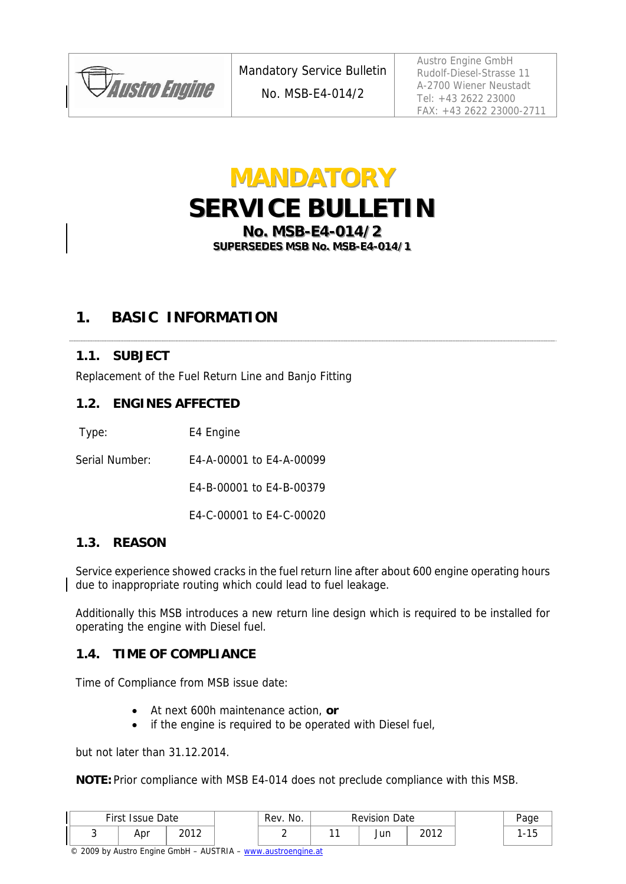

Austro Engine GmbH Rudolf-Diesel-Strasse 11 A-2700 Wiener Neustadt Tel: +43 2622 23000 FAX: +43 2622 23000-2711

## **MANDATORY SERVICE BULLETIN No. MSB-E4-014/2 SUPERSEDES MSB No. MSB-E4-014/1**

## **1. BASIC INFORMATION**

## **1.1. SUBJECT**

Replacement of the Fuel Return Line and Banjo Fitting

#### **1.2. ENGINES AFFECTED**

Type: E4 Engine

Serial Number: E4-A-00001 to E4-A-00099

E4-B-00001 to E4-B-00379

E4-C-00001 to E4-C-00020

#### **1.3. REASON**

Service experience showed cracks in the fuel return line after about 600 engine operating hours due to inappropriate routing which could lead to fuel leakage.

Additionally this MSB introduces a new return line design which is required to be installed for operating the engine with Diesel fuel.

#### **1.4. TIME OF COMPLIANCE**

Time of Compliance from MSB issue date:

- At next 600h maintenance action, **or**
- if the engine is required to be operated with Diesel fuel,

but not later than 31.12.2014.

**NOTE:** Prior compliance with MSB E4-014 does not preclude compliance with this MSB.

| First Issue Date |      | Rev. No. | <b>Revision Date</b> |      |  | aae |
|------------------|------|----------|----------------------|------|--|-----|
| Apr              | າດ1າ |          | Jun                  | วกาว |  | ں ، |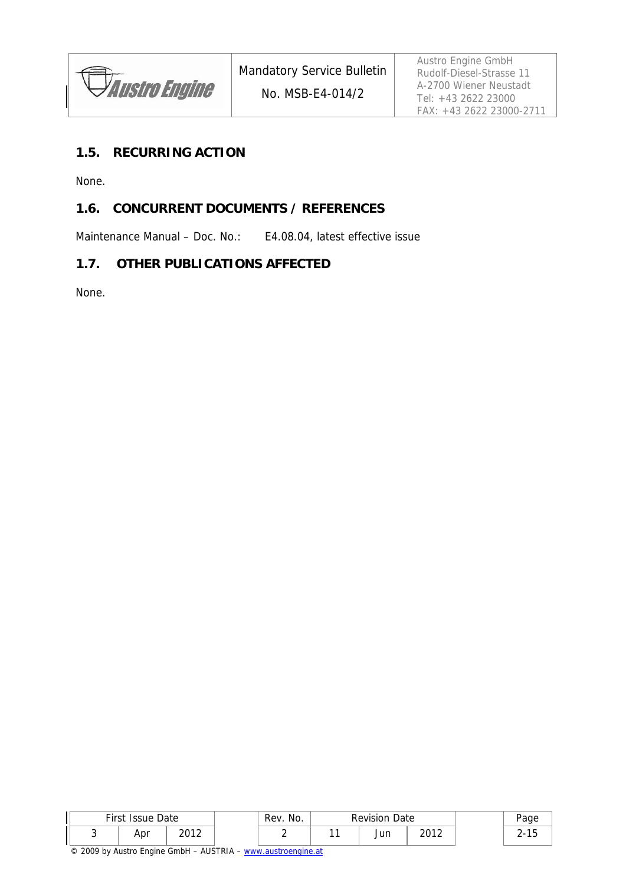### **1.5. RECURRING ACTION**

None.

## **1.6. CONCURRENT DOCUMENTS / REFERENCES**

Maintenance Manual – Doc. No.: E4.08.04, latest effective issue

#### **1.7. OTHER PUBLICATIONS AFFECTED**

None.

| First | <b>Issue Date</b> |              | Rev. No. | <b>Revision Date</b> |      | ∙aɑe |
|-------|-------------------|--------------|----------|----------------------|------|------|
|       | Apr               | ากา า<br>. L |          | Jun                  | วกาว |      |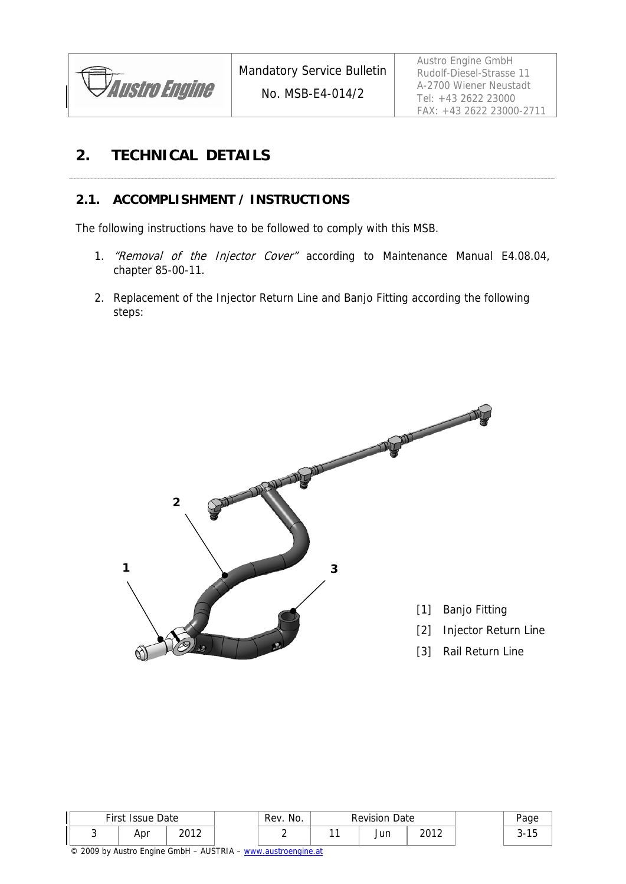

Austro Engine GmbH Rudolf-Diesel-Strasse 11 A-2700 Wiener Neustadt Tel: +43 2622 23000 FAX: +43 2622 23000-2711

## **2. TECHNICAL DETAILS**

## **2.1. ACCOMPLISHMENT / INSTRUCTIONS**

The following instructions have to be followed to comply with this MSB.

- 1. "Removal of the Injector Cover" according to Maintenance Manual E4.08.04, chapter 85-00-11.
- 2. Replacement of the Injector Return Line and Banjo Fitting according the following steps:



| First<br>Issue Date |      | No.<br>∵ Rev. . | <b>Revision Date</b> |      |  |
|---------------------|------|-----------------|----------------------|------|--|
| Apr                 | າດ1າ |                 | Jun                  | 2012 |  |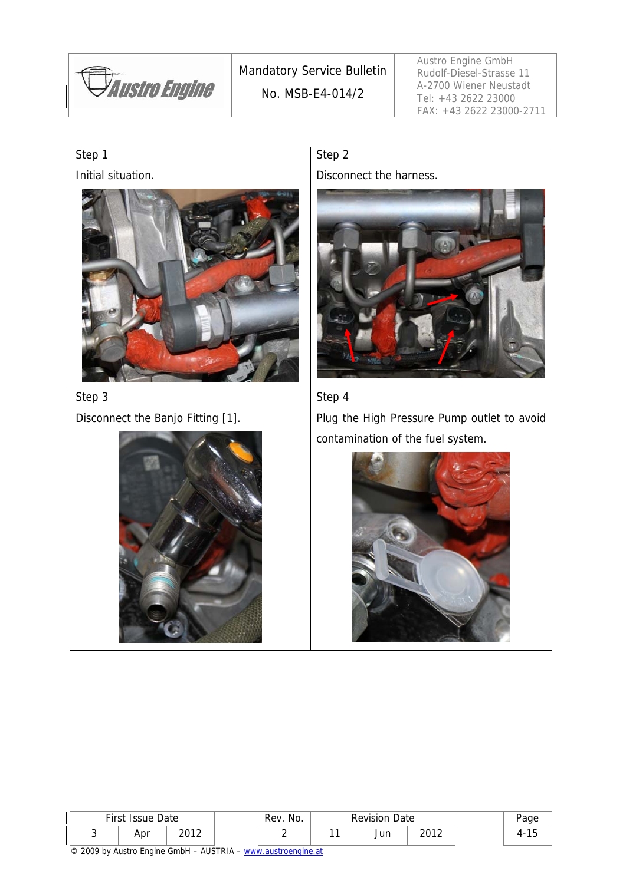*Austro Engine* 

Mandatory Service Bulletin No. MSB-E4-014/2

Austro Engine GmbH Rudolf-Diesel-Strasse 11 A-2700 Wiener Neustadt Tel: +43 2622 23000 FAX: +43 2622 23000-2711

# Step 1

Initial situation.



Step 2

Disconnect the harness.



#### Step 4

Disconnect the Banjo Fitting [1].



Plug the High Pressure Pump outlet to avoid contamination of the fuel system.



| First Issue Date |      | No.<br>Rev. | <b>Revision Date</b> |      | Page     |
|------------------|------|-------------|----------------------|------|----------|
| Apr              | າດ1າ |             | Jun                  | 2012 | $\cdots$ |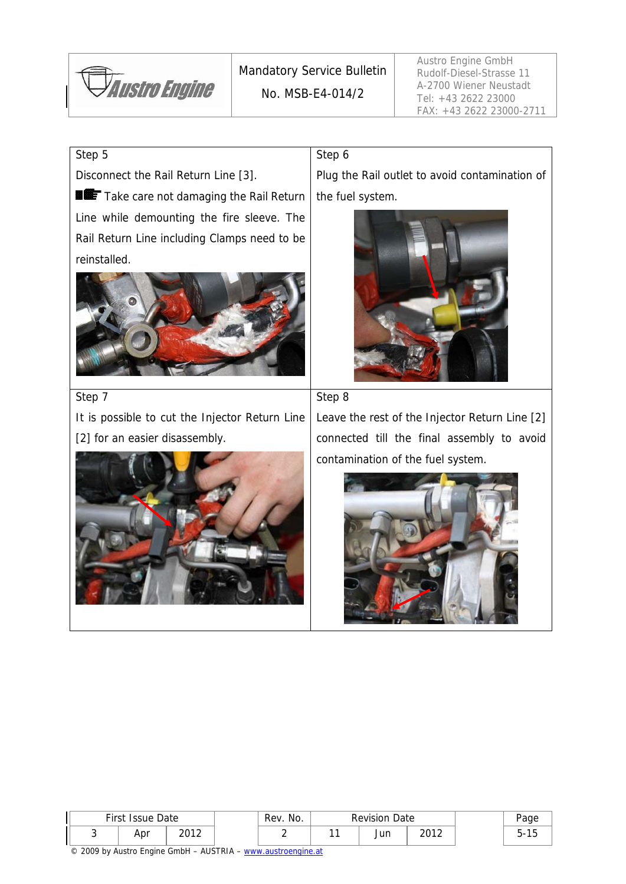

Mandatory Service Bulletin No. MSB-E4-014/2

Step 6

Austro Engine GmbH Rudolf-Diesel-Strasse 11 A-2700 Wiener Neustadt Tel: +43 2622 23000 FAX: +43 2622 23000-2711

#### Step 5

Disconnect the Rail Return Line [3].

Take care not damaging the Rail Return Line while demounting the fire sleeve. The Rail Return Line including Clamps need to be reinstalled.



Step 7

It is possible to cut the Injector Return Line [2] for an easier disassembly.



Plug the Rail outlet to avoid contamination of the fuel system.





Leave the rest of the Injector Return Line [2] connected till the final assembly to avoid contamination of the fuel system.



| First Issue Date |      | No.<br>Rev. | <b>Revision Date</b> |      | Page |
|------------------|------|-------------|----------------------|------|------|
| Apr              | າດ1າ |             | Jun                  | 2012 |      |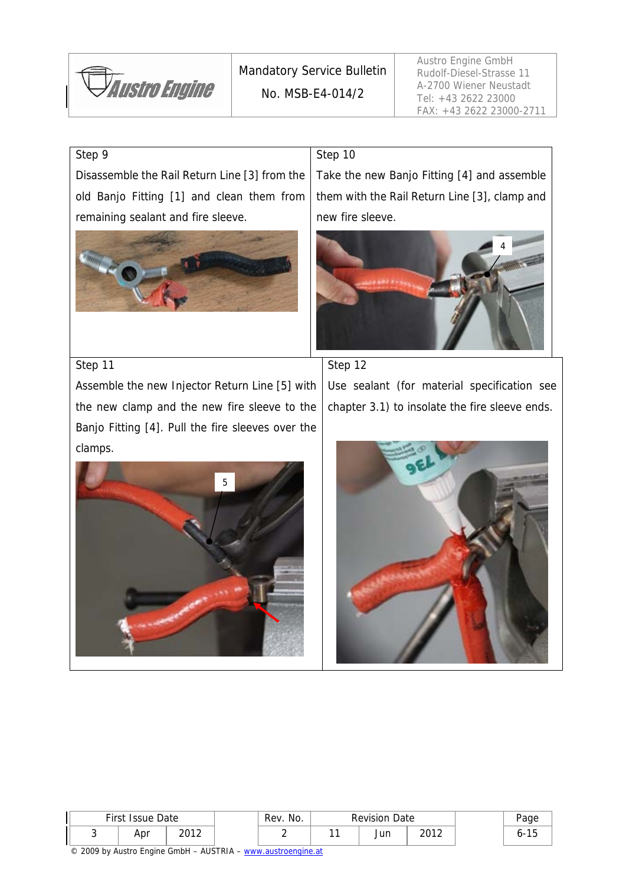*Austro Engine* 

#### Step 9

Step 11

Disassemble the Rail Return Line [3] from the old Banjo Fitting [1] and clean them from remaining sealant and fire sleeve.



#### Step 10

Step 12

Take the new Banjo Fitting [4] and assemble them with the Rail Return Line [3], clamp and new fire sleeve.





Assemble the new Injector Return Line [5] with the new clamp and the new fire sleeve to the Banjo Fitting [4]. Pull the fire sleeves over the



Use sealant (for material specification see

chapter 3.1) to insolate the fire sleeve ends.

| <b>First Issue Date</b> |       | No.<br>Rev. | <b>Revision Date</b> |     |       |  |  |
|-------------------------|-------|-------------|----------------------|-----|-------|--|--|
| Apr                     | าก1 า |             |                      | Jun | າດ1 າ |  |  |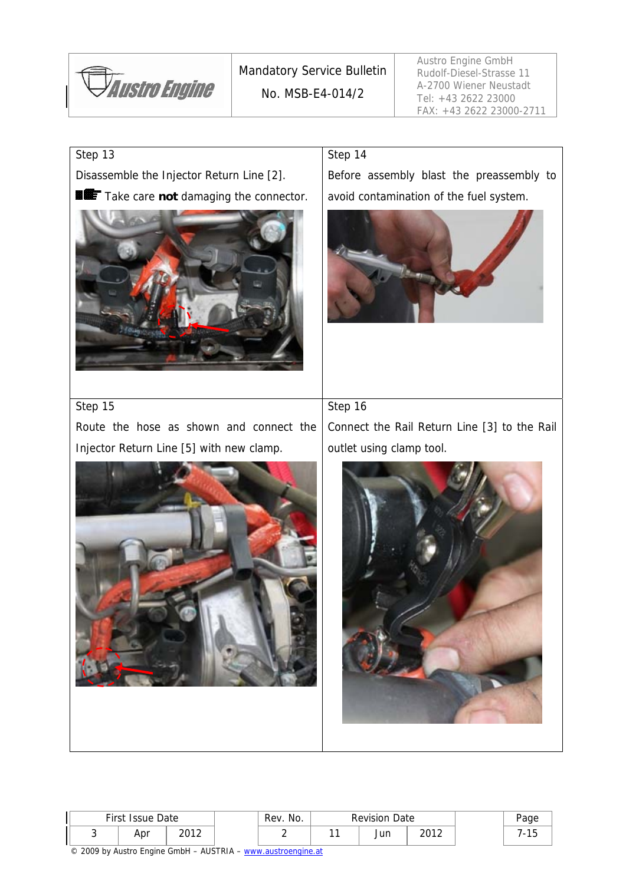

#### Step 13

Disassemble the Injector Return Line [2].

**Take care not damaging the connector.** 



#### Step 14

Before assembly blast the preassembly to avoid contamination of the fuel system.



#### Step 15

Route the hose as shown and connect the Injector Return Line [5] with new clamp.

Step 16

Connect the Rail Return Line [3] to the Rail outlet using clamp tool.



| First Issue Date |      | Rev. No. | <b>Revision Date</b> |      |  |  |
|------------------|------|----------|----------------------|------|--|--|
| Apr              | າດ1າ |          | Jun                  | 2012 |  |  |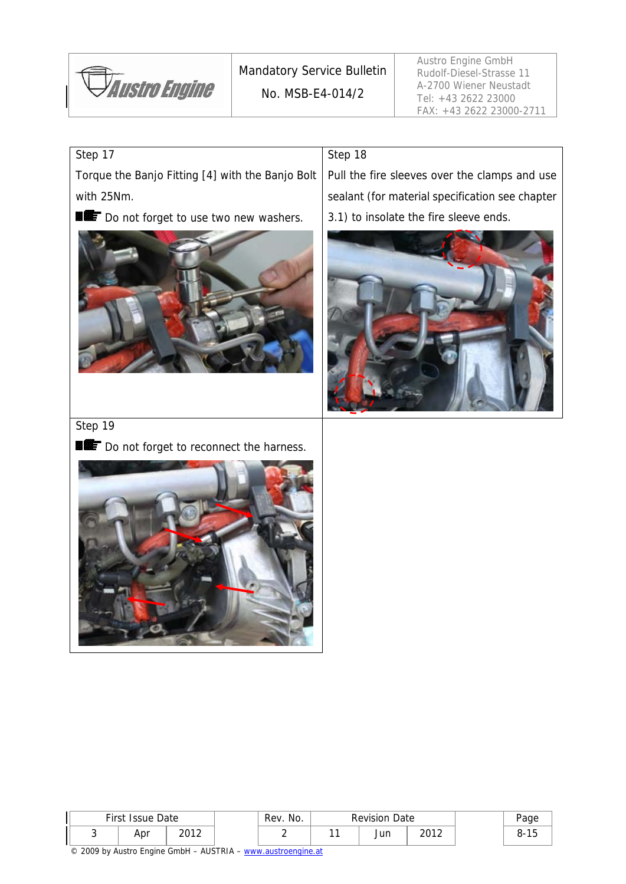

Step 18

Austro Engine GmbH Rudolf-Diesel-Strasse 11 A-2700 Wiener Neustadt Tel: +43 2622 23000 FAX: +43 2622 23000-2711

## Step 17

Torque the Banjo Fitting [4] with the Banjo Bolt with 25Nm.

Do not forget to use two new washers.



Pull the fire sleeves over the clamps and use sealant (for material specification see chapter 3.1) to insolate the fire sleeve ends.



## Step 19

Do not forget to reconnect the harness.



| First Issue Date<br>າດ1າ |  | Rev. No. | <b>Revision Date</b> |     | Page |    |
|--------------------------|--|----------|----------------------|-----|------|----|
| Apr                      |  |          |                      | Jun | 2012 | o- |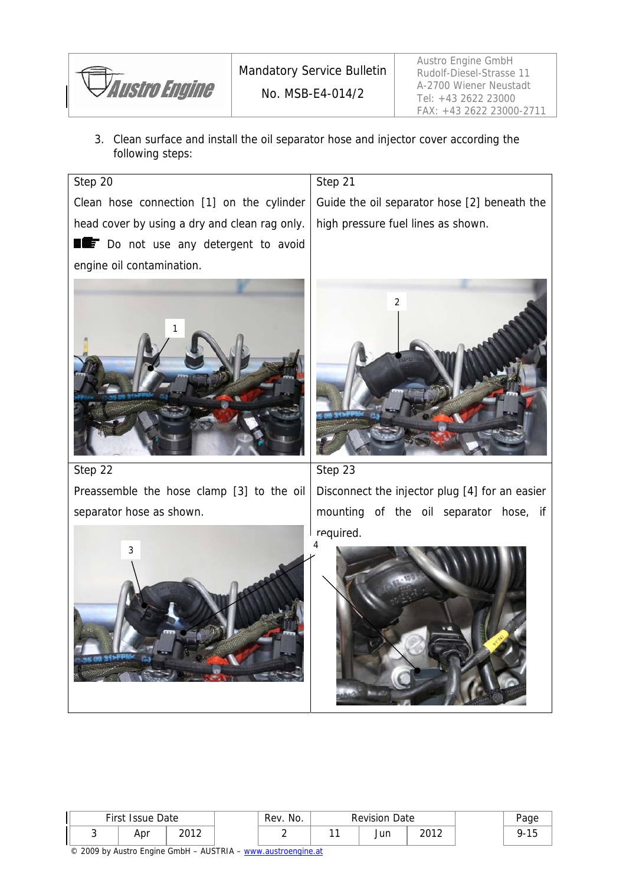

3. Clean surface and install the oil separator hose and injector cover according the following steps:



|  | First Issue Date |      | Rev.<br>NO. | <b>Revision Date</b> |      |  |  |
|--|------------------|------|-------------|----------------------|------|--|--|
|  | Apr              | 2012 |             | Jun                  | 2012 |  |  |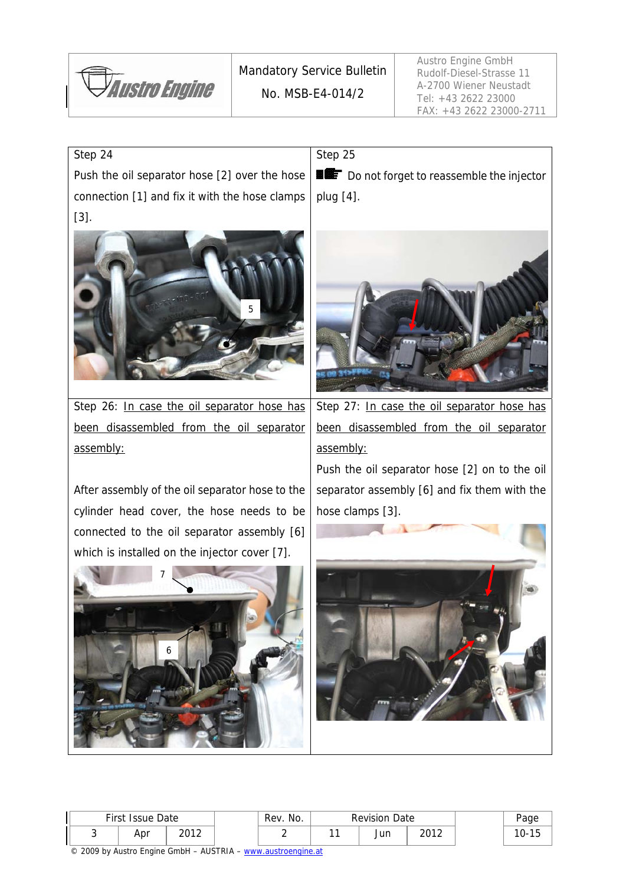

#### Step 24

Push the oil separator hose [2] over the hose connection [1] and fix it with the hose clamps [3].



Step 26: In case the oil separator hose has been disassembled from the oil separator assembly:

After assembly of the oil separator hose to the cylinder head cover, the hose needs to be connected to the oil separator assembly [6] which is installed on the injector cover [7].



Step 25

Do not forget to reassemble the injector plug [4].



Step 27: In case the oil separator hose has been disassembled from the oil separator assembly:

Push the oil separator hose [2] on to the oil separator assembly [6] and fix them with the hose clamps [3].



| First Issue Date |                 | Rev. No. | <b>Revision Date</b> |      |     |
|------------------|-----------------|----------|----------------------|------|-----|
| Apr              | ากา า<br>20 I Z |          | Jun                  | วกาว | IU- |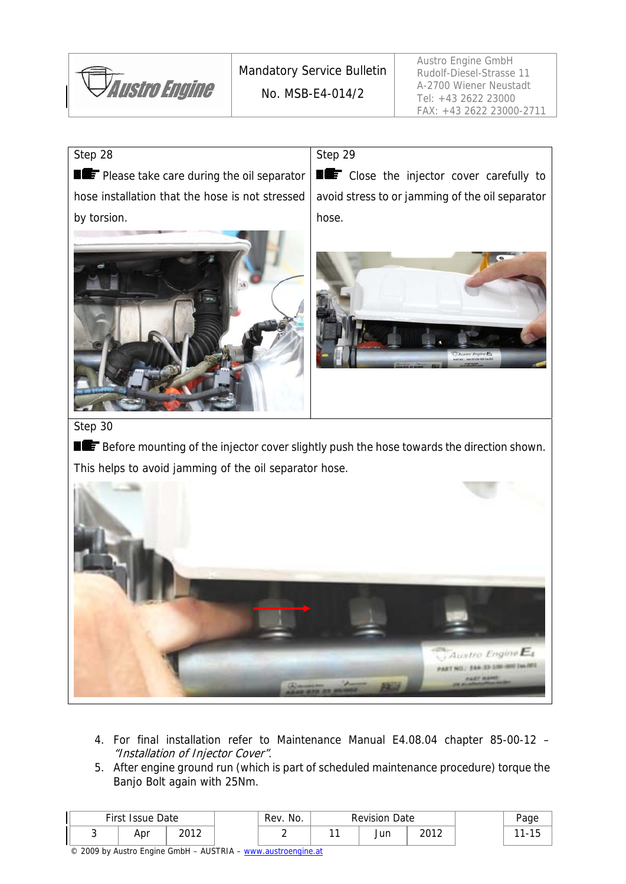

#### Step 28

by torsion.

**PLE** Please take care during the oil separator hose installation that the hose is not stressed Step 29

**EXECT** Close the injector cover carefully to avoid stress to or jamming of the oil separator hose.





#### Step 30

Before mounting of the injector cover slightly push the hose towards the direction shown. This helps to avoid jamming of the oil separator hose.



- 4. For final installation refer to Maintenance Manual E4.08.04 chapter 85-00-12 "Installation of Injector Cover".
- 5. After engine ground run (which is part of scheduled maintenance procedure) torque the Banjo Bolt again with 25Nm.

| First Issue Date |       | Rev. No. | <b>Revision Date</b> |      | age |
|------------------|-------|----------|----------------------|------|-----|
| Apr              | ากา า |          | Jun                  | 2012 |     |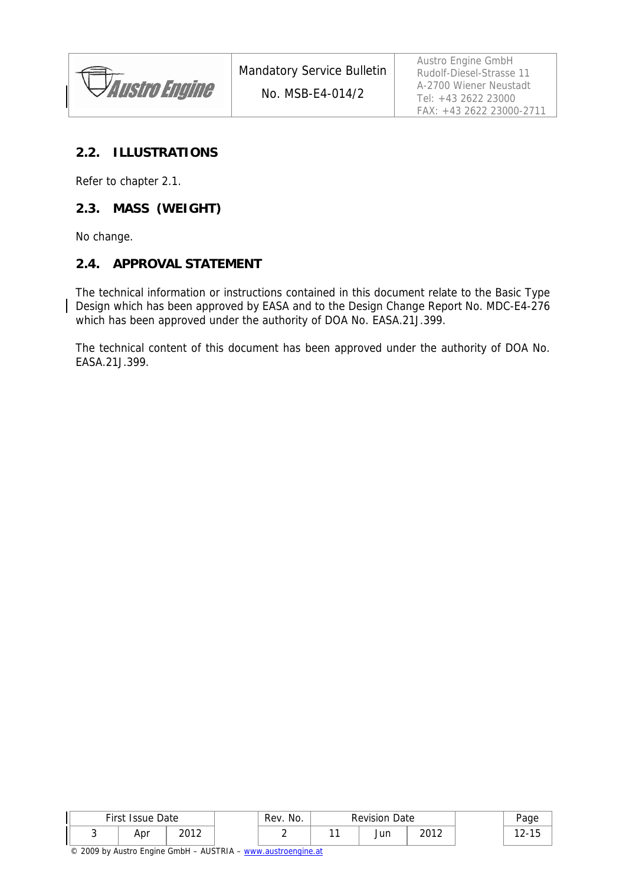**Austro Engine** 

Austro Engine GmbH Rudolf-Diesel-Strasse 11 A-2700 Wiener Neustadt Tel: +43 2622 23000 FAX: +43 2622 23000-2711

#### **2.2. ILLUSTRATIONS**

Refer to chapter 2.1.

#### **2.3. MASS (WEIGHT)**

No change.

#### **2.4. APPROVAL STATEMENT**

The technical information or instructions contained in this document relate to the Basic Type Design which has been approved by EASA and to the Design Change Report No. MDC-E4-276 which has been approved under the authority of DOA No. EASA.21J.399.

The technical content of this document has been approved under the authority of DOA No. EASA.21J.399.

| First Issue Date<br>Rev. No. |       |  |  | <b>Revision Date</b> |      |  |  |
|------------------------------|-------|--|--|----------------------|------|--|--|
| Apr                          | ากา า |  |  | Jun                  | ากาา |  |  |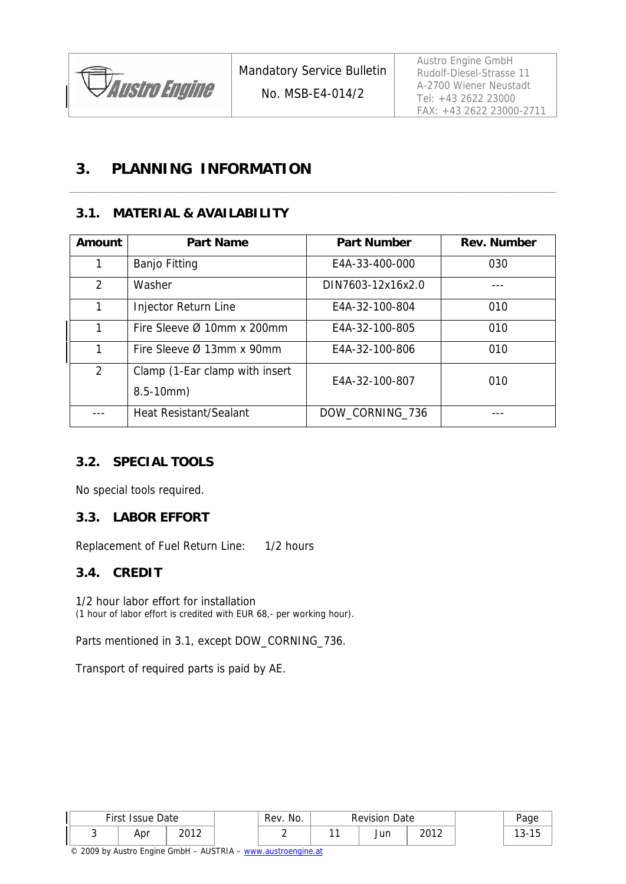

Austro Engine GmbH Rudolf-Diesel-Strasse 11 A-2700 Wiener Neustadt Tel: +43 2622 23000 FAX: +43 2622 23000-2711

## **3. PLANNING INFORMATION**

## **3.1. MATERIAL & AVAILABILITY**

| Amount         | <b>Part Name</b>                                 | <b>Part Number</b> | <b>Rev. Number</b> |
|----------------|--------------------------------------------------|--------------------|--------------------|
| 1              | <b>Banjo Fitting</b>                             | E4A-33-400-000     | 030                |
| $\overline{2}$ | Washer                                           | DIN7603-12x16x2.0  |                    |
| 1              | Injector Return Line                             | E4A-32-100-804     | 010                |
| 1              | Fire Sleeve $\varnothing$ 10mm x 200mm           | E4A-32-100-805     | 010                |
| 1              | Fire Sleeve Ø 13mm x 90mm                        | E4A-32-100-806     | 010                |
| 2              | Clamp (1-Ear clamp with insert<br>$8.5 - 10$ mm) | E4A-32-100-807     | 010                |
|                | <b>Heat Resistant/Sealant</b>                    | DOW_CORNING_736    |                    |

## **3.2. SPECIAL TOOLS**

No special tools required.

#### **3.3. LABOR EFFORT**

Replacement of Fuel Return Line: 1/2 hours

#### **3.4. CREDIT**

1/2 hour labor effort for installation (1 hour of labor effort is credited with EUR 68,- per working hour).

Parts mentioned in 3.1, except DOW\_CORNING\_736.

Transport of required parts is paid by AE.

| First<br>Date<br>Issue |     | Rev. No. | Date<br><b>Revision</b> |  |           | age  |           |
|------------------------|-----|----------|-------------------------|--|-----------|------|-----------|
| ັ                      | Apr | ากา า    |                         |  | .<br>Juli | າດ1າ | ιu<br>. ب |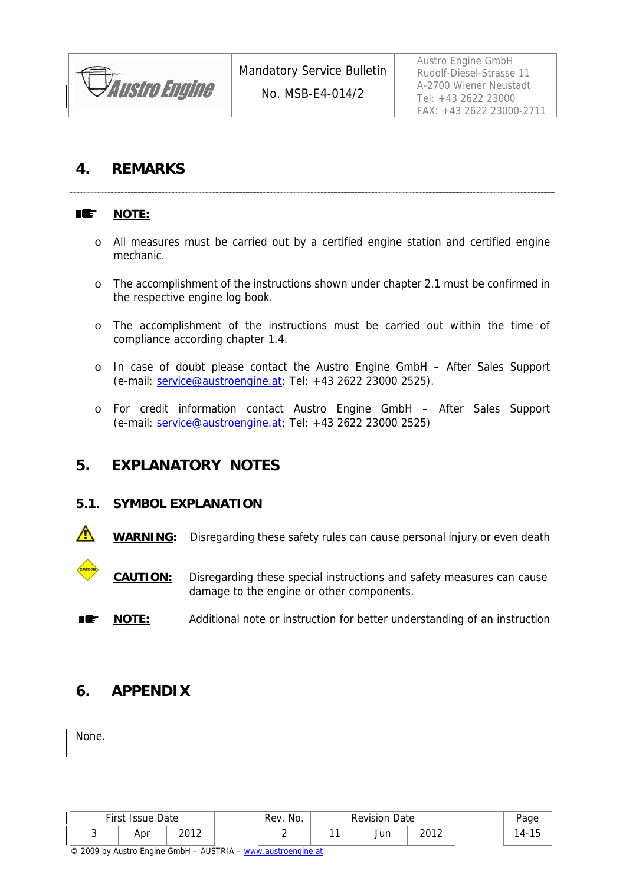

Austro Engine GmbH Rudolf-Diesel-Strasse 11 A-2700 Wiener Neustadt Tel: +43 2622 23000 FAX: +43 2622 23000-2711

## **4. REMARKS**

#### ■鑑 **NOTE:**

- o All measures must be carried out by a certified engine station and certified engine mechanic.
- o The accomplishment of the instructions shown under chapter 2.1 must be confirmed in the respective engine log book.
- o The accomplishment of the instructions must be carried out within the time of compliance according chapter 1.4.
- o In case of doubt please contact the Austro Engine GmbH After Sales Support (e-mail: service@austroengine.at; Tel: +43 2622 23000 2525).
- o For credit information contact Austro Engine GmbH After Sales Support (e-mail: service@austroengine.at; Tel: +43 2622 23000 2525)

## **5. EXPLANATORY NOTES**

#### **5.1. SYMBOL EXPLANATION**

**WARNING:** Disregarding these safety rules can cause personal injury or even death

 **CAUTION:** Disregarding these special instructions and safety measures can cause damage to the engine or other components.

**NOTE:** Additional note or instruction for better understanding of an instruction

## **6. APPENDIX**

None.

| First Issue Date |     | Rev. No. | <b>Revision Date</b> |  |     | aae  |    |
|------------------|-----|----------|----------------------|--|-----|------|----|
|                  | Apr | ากา า    |                      |  | Jun | 2012 | 4- |